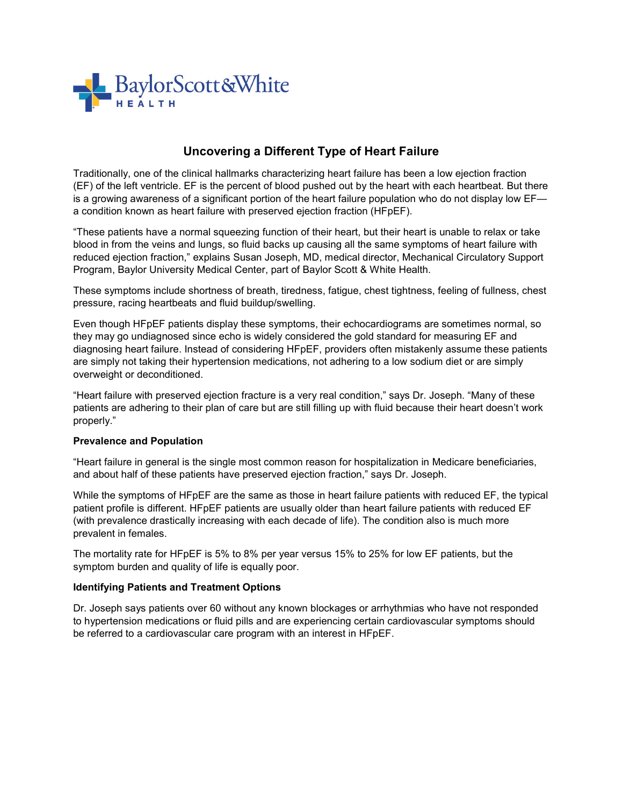

## **Uncovering a Different Type of Heart Failure**

Traditionally, one of the clinical hallmarks characterizing heart failure has been a low ejection fraction (EF) of the left ventricle. EF is the percent of blood pushed out by the heart with each heartbeat. But there is a growing awareness of a significant portion of the heart failure population who do not display low EF a condition known as heart failure with preserved ejection fraction (HFpEF).

"These patients have a normal squeezing function of their heart, but their heart is unable to relax or take blood in from the veins and lungs, so fluid backs up causing all the same symptoms of heart failure with reduced ejection fraction," explains Susan Joseph, MD, medical director, Mechanical Circulatory Support Program, Baylor University Medical Center, part of Baylor Scott & White Health.

These symptoms include shortness of breath, tiredness, fatigue, chest tightness, feeling of fullness, chest pressure, racing heartbeats and fluid buildup/swelling.

Even though HFpEF patients display these symptoms, their echocardiograms are sometimes normal, so they may go undiagnosed since echo is widely considered the gold standard for measuring EF and diagnosing heart failure. Instead of considering HFpEF, providers often mistakenly assume these patients are simply not taking their hypertension medications, not adhering to a low sodium diet or are simply overweight or deconditioned.

"Heart failure with preserved ejection fracture is a very real condition," says Dr. Joseph. "Many of these patients are adhering to their plan of care but are still filling up with fluid because their heart doesn't work properly."

## **Prevalence and Population**

"Heart failure in general is the single most common reason for hospitalization in Medicare beneficiaries, and about half of these patients have preserved ejection fraction," says Dr. Joseph.

While the symptoms of HFpEF are the same as those in heart failure patients with reduced EF, the typical patient profile is different. HFpEF patients are usually older than heart failure patients with reduced EF (with prevalence drastically increasing with each decade of life). The condition also is much more prevalent in females.

The mortality rate for HFpEF is 5% to 8% per year versus 15% to 25% for low EF patients, but the symptom burden and quality of life is equally poor.

## **Identifying Patients and Treatment Options**

Dr. Joseph says patients over 60 without any known blockages or arrhythmias who have not responded to hypertension medications or fluid pills and are experiencing certain cardiovascular symptoms should be referred to a cardiovascular care program with an interest in HFpEF.